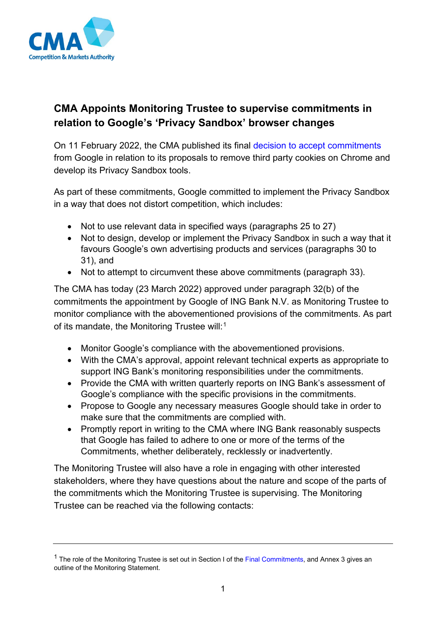

## **CMA Appoints Monitoring Trustee to supervise commitments in relation to Google's 'Privacy Sandbox' browser changes**

On 11 February 2022, the CMA published its final [decision to accept commitments](https://www.gov.uk/cma-cases/investigation-into-googles-privacy-sandbox-browser-changes) from Google in relation to its proposals to remove third party cookies on Chrome and develop its Privacy Sandbox tools.

As part of these commitments, Google committed to implement the Privacy Sandbox in a way that does not distort competition, which includes:

- Not to use relevant data in specified ways (paragraphs 25 to 27)
- Not to design, develop or implement the Privacy Sandbox in such a way that it favours Google's own advertising products and services (paragraphs 30 to 31), and
- Not to attempt to circumvent these above commitments (paragraph 33).

The CMA has today (23 March 2022) approved under paragraph 32(b) of the commitments the appointment by Google of ING Bank N.V. as Monitoring Trustee to monitor compliance with the abovementioned provisions of the commitments. As part of its mandate, the Monitoring Trustee will:<sup>[1](#page-0-0)</sup>

- Monitor Google's compliance with the abovementioned provisions.
- With the CMA's approval, appoint relevant technical experts as appropriate to support ING Bank's monitoring responsibilities under the commitments.
- Provide the CMA with written quarterly reports on ING Bank's assessment of Google's compliance with the specific provisions in the commitments.
- Propose to Google any necessary measures Google should take in order to make sure that the commitments are complied with.
- Promptly report in writing to the CMA where ING Bank reasonably suspects that Google has failed to adhere to one or more of the terms of the Commitments, whether deliberately, recklessly or inadvertently.

The Monitoring Trustee will also have a role in engaging with other interested stakeholders, where they have questions about the nature and scope of the parts of the commitments which the Monitoring Trustee is supervising. The Monitoring Trustee can be reached via the following contacts:

<span id="page-0-0"></span> $1$  The role of the Monitoring Trustee is set out in Section I of th[e Final Commitments,](https://assets.publishing.service.gov.uk/media/62052c6a8fa8f510a204374a/100222_Appendix_1A_Google_s_final_commitments.pdf) and Annex 3 gives an outline of the Monitoring Statement.